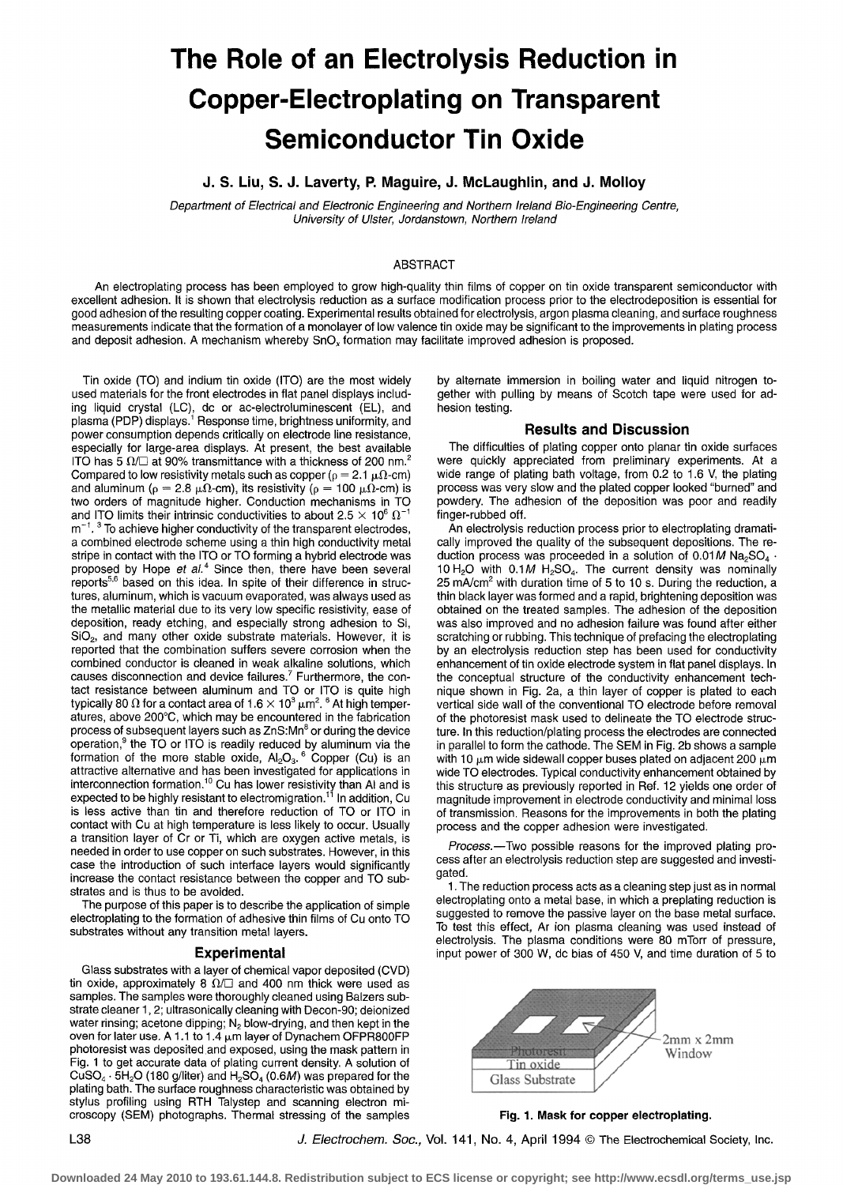# **The Role of an Electrolysis Reduction in Copper-Electroplating on Transparent Semiconductor Tin Oxide**

**J. S. Liu, S. J. Laverty, R Maguire, J. McLaughlin, and J. Molloy** 

*Department of Electrical and Electronic Engineering and Northern Ireland Bio-Engineering Centre, University of Ulster, Jordanstown, Northern Ireland* 

# ABSTRACT

An electroplating process has been employed to grow high-quality thin films of copper on tin oxide transparent semiconductor with excellent adhesion. It is shown that electrolysis reduction as a surface modification process prior to the electrodeposition is essential for good adhesion of the resulting copper coating. Experimental results obtained for electrolysis, argon plasma cleaning, and surface roughness measurements indicate that the formation of a monolayer of low valence tin oxide may be significant to the improvements in plating process and deposit adhesion. A mechanism whereby SnO<sub>x</sub> formation may facilitate improved adhesion is proposed.

Tin oxide (TO) and indium tin oxide (ITO) are the most widely used materials for the front electrodes in flat panel displays including liquid crystal (LC), dc or ac-electroluminescent (EL), and plasma (PDP) displays.<sup>1</sup> Response time, brightness uniformity, and power consumption depends critically on electrode line resistance, especially for large-area displays. At present, the best available ITO has 5  $\Omega$ / $\Box$  at 90% transmittance with a thickness of 200 nm.<sup>2</sup> Compared to low resistivity metals such as copper ( $\rho = 2.1 \mu \Omega$ -cm) and aluminum ( $\rho = 2.8 \mu\Omega$ -cm), its resistivity ( $\rho = 100 \mu\Omega$ -cm) is two orders of magnitude higher. Conduction mechanisms in TO and ITO limits their intrinsic conductivities to about 2.5  $\times$  10<sup>6</sup>  $\Omega^{-1}$  $m^{-1}$ .<sup>3</sup> To achieve higher conductivity of the transparent electrodes, a combined electrode scheme using a thin high conductivity metal stripe in contact with the ITO or TO forming a hybrid electrode was proposed by Hope *et aL 4* Since then, there have been several reports<sup>5,6</sup> based on this idea. In spite of their difference in structures, aluminum, which is vacuum evaporated, was always used as the metallic material due to its very low specific resistivity, ease of deposition, ready etching, and especially strong adhesion to Si, SiO2, and many other oxide substrate materials. However, it is reported that the combination suffers severe corrosion when the combined conductor is cleaned in weak alkaline solutions, which causes disconnection and device failures.<sup>7</sup> Furthermore, the contact resistance between aluminum and TO or ITO is quite high typically 80  $\Omega$  for a contact area of 1.6  $\times$  10<sup>3</sup>  $\mu$ m<sup>2</sup>. <sup>6</sup> At high temperatures, above 200°C, which may be encountered in the fabrication process of subsequent layers such as  $ZnS: Mn<sup>8</sup>$  or during the device operation,<sup>9</sup> the TO or ITO is readily reduced by aluminum via the formation of the more stable oxide,  $AI_2O_3$ . Copper (Cu) is an attractive alternative and has been investigated for applications in interconnection formation.'<sup>o</sup> Cu has lower resistivity than AI and is expected to be highly resistant to electromigration.11 In addition, Cu is less active than tin and therefore reduction of TO or ITO in contact with Cu at high temperature is less likely to occur. Usually a transition layer of Cr or Ti, which are oxygen active metals, is needed in order to use copper on such substrates. However, in this case the introduction of such interface layers would significantly increase the contact resistance between the copper and TO substrates and is thus to be avoided.

The purpose of this paper is to describe the application of simple electroplating to the formation of adhesive thin films of Cu onto TO substrates without any transition metal layers.

# **Experimental**

Glass substrates with a layer of chemical vapor deposited (CVD) tin oxide, approximately 8  $\Omega/\square$  and 400 nm thick were used as samples. The samples were thoroughly cleaned using Balzers substrate cleaner 1,2; ultrasonically cleaning with Decon-90; deionized water rinsing; acetone dipping;  $N<sub>2</sub>$  blow-drying, and then kept in the oven for later use. A 1.1 to 1.4 um layer of Dynachem OFPR800FP photoresist was deposited.and exposed, using the mask pattern in Fig. 1 to get accurate data of plating current density. A solution of  $CuSO<sub>4</sub> \cdot 5H<sub>2</sub>O$  (180 g/liter) and  $H<sub>2</sub>SO<sub>4</sub>$  (0.6M) was prepared for the plating bath. The surface roughness characteristic was obtained by stylus profiling using RTH Talystep and scanning electron microscopy (SEM) photographs. Thermal stressing of the samples by alternate immersion in boiling water and liquid nitrogen together with pulling by means of Scotch tape were used for adhesion testing.

# **Results and Discussion**

The difficulties of plating copper onto planar tin oxide surfaces were quickly appreciated from preliminary experiments. At a wide range of plating bath voltage, from 0.2 to 1.6 V, the plating process was very slow and the plated copper looked "burned" and powdery. The adhesion of the deposition was poor and readily finger-rubbed off.

An electrolysis reduction process prior to electroplating dramatically improved the quality of the subsequent depositions. The reduction process was proceeded in a solution of  $0.01M$  Na<sub>2</sub>SO<sub>4</sub> 10 H<sub>2</sub>O with 0.1M H<sub>2</sub>SO<sub>4</sub>. The current density was nominally 25 mA/cm<sup>2</sup> with duration time of 5 to 10 s. During the reduction, a thin black layer was formed and a rapid, brightening deposition was obtained on the treated samples. The adhesion of the deposition was also improved and no adhesion failure was found after either scratching or rubbing. This technique of prefacing the electroplating by an electrolysis reduction step has been used for conductivity enhancement of tin oxide electrode system in flat panel displays. In the conceptual structure of the conductivity enhancement technique shown in Fig. 2a, a thin layer of copper is plated to each vertical side wall of the conventional TO electrode before removal of the photoresist mask used to delineate the TO electrode structure. In this reduction/plating process the electrodes are connected in parallel to form the cathode. The SEM in Fig. 2b shows a sample with 10  $\mu$ m wide sidewall copper buses plated on adjacent 200  $\mu$ m wide TO electrodes. Typical conductivity enhancement obtained by this structure as previously reported in Ref. 12 yields one order of magnitude improvement in electrode conductivity and minimal loss of transmission. Reasons for the improvements in both the plating process and the copper adhesion were investigated.

*Process.--Two* possible reasons for the improved plating process after an electrolysis reduction step are suggested and investigated.

1. The reduction process acts as a cleaning step just as in normal electroplating onto a metal base, in which a preplating reduction is suggested to remove the passive layer on the base metal surface. To test this effect, Ar ion plasma cleaning was used instead of electrolysis. The plasma conditions were 80 mTorr of pressure, input power of 300 W, dc bias of 450 V, and time duration of 5 to



**Fig. 1. Mask for copper electroplating.** 

*J. Electrochem. Soc., Vol. 141, No. 4, April 1994* © The Electrochemical Society, Inc.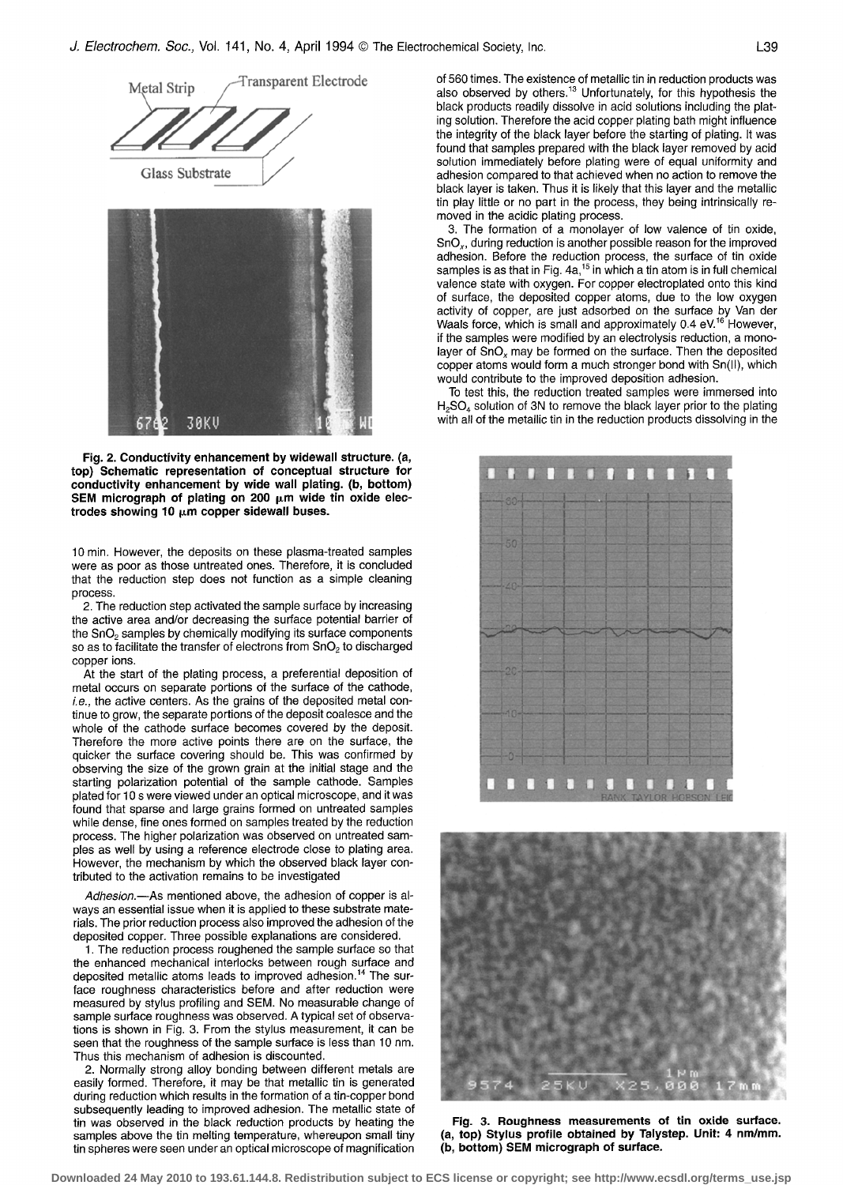

**Fig. 2. Conductivity enhancement by widewall structure. (a, top) Schematic representation of conceptual structure for conductivity enhancement by wide wall plating. (b, bottom)**  SEM micrograph of plating on 200 pm wide tin oxide electrodes showing 10  $\mu$ m copper sidewall buses.

30KV

67

**10** min. However, the deposits on these plasma-treated samples were as poor as those untreated ones. Therefore, it is concluded that the reduction step does not function as a simple cleaning process.

2. The reduction step activated the sample surface by increasing the active area and/or decreasing the surface potential barrier of the SnO<sub>2</sub> samples by chemically modifying its surface components so as to facilitate the transfer of electrons from  $SnO<sub>2</sub>$  to discharged copper ions.

At the start of the plating process, a preferential deposition of metal occurs on separate portions of the surface of the cathode, i.e., the active centers. As the grains of the deposited metal continue to grow, the separate portions of the deposit coalesce and the whole of the cathode surface becomes covered by the deposit. Therefore the more active points there are on the surface, the quicker the surface covering should be. This was confirmed by observing the size of the grown grain at the initial stage and the starting polarization potential of the sample cathode. Samples plated for 10 s were viewed under an optical microscope, and it was found that sparse and large grains formed on untreated samples while dense, fine ones formed on samples treated by the reduction process. The higher polarization was observed on untreated samples as well by using a reference electrode close to plating area. However, the mechanism by which the observed black layer contributed to the activation remains to be investigated

*Adhesion.--As* mentioned above, the adhesion of copper is always an essential issue when it is applied to these substrate materials. The prior reduction process also improved the adhesion of the deposited copper. Three possible explanations are considered.

1. The reduction process roughened the sample surface so that the enhanced mechanical interlocks between rough surface and deposited metallic atoms leads to improved adhesion.<sup>14</sup> The surface roughness characteristics before and after reduction were measured by stylus profiling and SEM. No measurable change of sample surface roughness was observed. A typical set of observations is shown in Fig. 3. From the stylus measurement, it can be seen that the roughness of the sample surface is less than 10 nm. Thus this mechanism of adhesion is discounted.

2. Normally strong alloy bonding between different metals are easily formed. Therefore, it may be that metallic tin is generated during reduction which results in the formation of a tin-copper bond subsequently leading to improved adhesion. The metallic state of tin was observed in the black reduction products by heating the samples above the tin melting temperature, whereupon small tiny tin spheres were seen under an optical microscope of magnification of 560 times. The existence of metallic tin in reduction products was also observed by others.<sup>13</sup> Unfortunately, for this hypothesis the black products readily dissolve in acid solutions including the plating solution. Therefore the acid copper plating bath might influence the integrity of the black layer before the starting of plating. It was found that samples prepared with the black layer removed by acid solution immediately before plating were of equal uniformity and adhesion compared to that achieved when no action to remove the black layer is taken. Thus it is likely that this layer and the metallic tin play little or no part in the process, they being intrinsically removed in the acidic plating process.

3. The formation of a monolayer of low valence of tin oxide, SnOx, during reduction is another possible reason for the improved adhesion. Before the reduction process, the surface of tin oxide samples is as that in Fig.  $4a$ ,<sup>15</sup> in which a tin atom is in full chemical valence state with oxygen. For copper electroplated onto this kind of surface, the deposited copper atoms, due to the low oxygen activity of copper, are just adsorbed on the surface by Van der Waals force, which is small and approximately 0.4 eV.'° However, if the samples were modified by an electrolysis reduction, a monolayer of  $SnO<sub>x</sub>$  may be formed on the surface. Then the deposited copper atoms would form a much stronger bond with Sn(ll), which would contribute to the improved deposition adhesion.

To test this, the reduction treated samples were immersed into  $H<sub>2</sub>SO<sub>4</sub>$  solution of 3N to remove the black layer prior to the plating with all of the metallic tin in the reduction products dissolving in the





**Fig. 3. Roughness measurements of tin oxide surface. (a, top) Stylus profile obtained by Talystep. Unit: 4 nm/mm. (b, bottom) SEM micrograph of surface.**